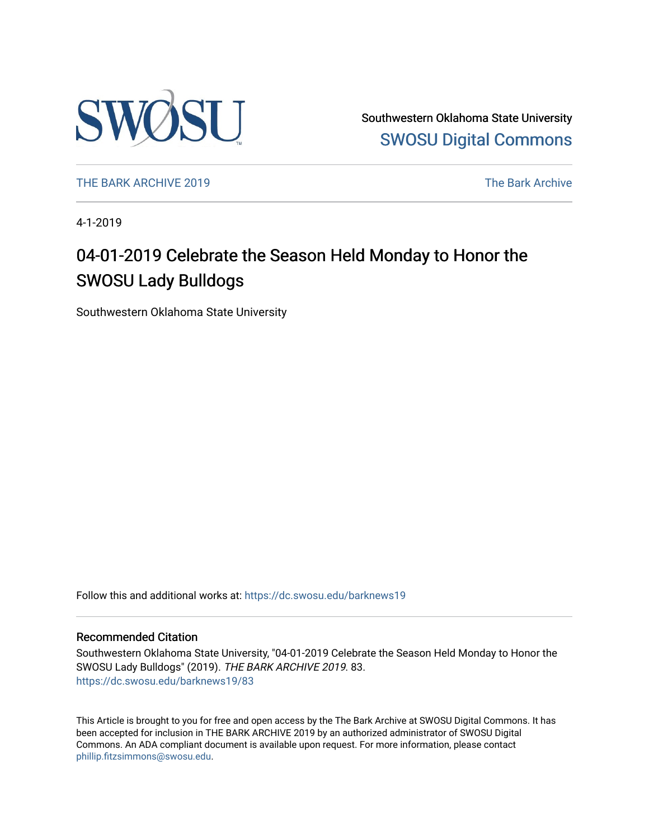

Southwestern Oklahoma State University [SWOSU Digital Commons](https://dc.swosu.edu/) 

[THE BARK ARCHIVE 2019](https://dc.swosu.edu/barknews19) The Bark Archive

4-1-2019

### 04-01-2019 Celebrate the Season Held Monday to Honor the SWOSU Lady Bulldogs

Southwestern Oklahoma State University

Follow this and additional works at: [https://dc.swosu.edu/barknews19](https://dc.swosu.edu/barknews19?utm_source=dc.swosu.edu%2Fbarknews19%2F83&utm_medium=PDF&utm_campaign=PDFCoverPages)

#### Recommended Citation

Southwestern Oklahoma State University, "04-01-2019 Celebrate the Season Held Monday to Honor the SWOSU Lady Bulldogs" (2019). THE BARK ARCHIVE 2019. 83. [https://dc.swosu.edu/barknews19/83](https://dc.swosu.edu/barknews19/83?utm_source=dc.swosu.edu%2Fbarknews19%2F83&utm_medium=PDF&utm_campaign=PDFCoverPages) 

This Article is brought to you for free and open access by the The Bark Archive at SWOSU Digital Commons. It has been accepted for inclusion in THE BARK ARCHIVE 2019 by an authorized administrator of SWOSU Digital Commons. An ADA compliant document is available upon request. For more information, please contact [phillip.fitzsimmons@swosu.edu](mailto:phillip.fitzsimmons@swosu.edu).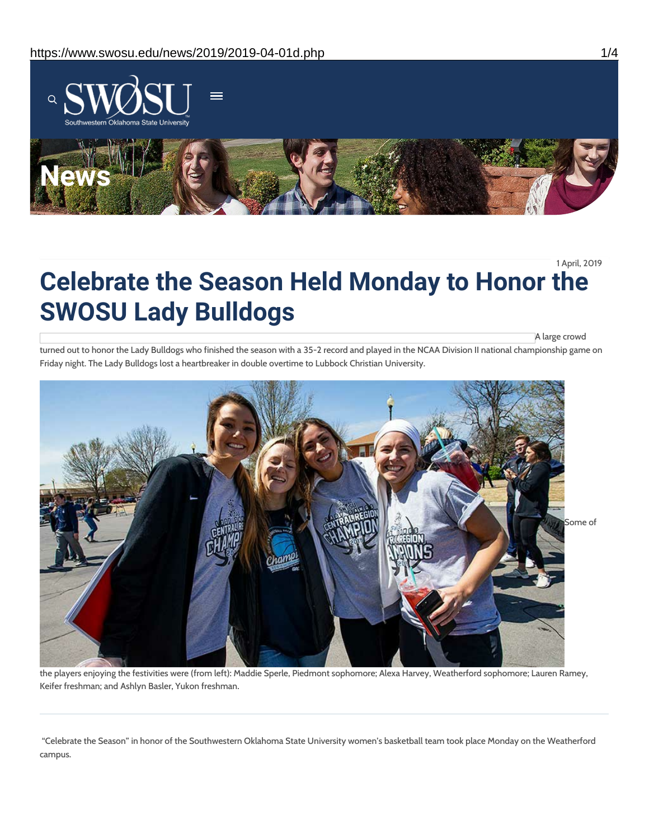

1 April, 2019

# **Celebrate the Season Held Monday to Honor the SWOSU Lady Bulldogs**

A large crowd

turned out to honor the Lady Bulldogs who finished the season with a 35-2 record and played in the NCAA Division II national championship game on Friday night. The Lady Bulldogs lost a heartbreaker in double overtime to Lubbock Christian University.



the players enjoying the festivities were (from left): Maddie Sperle, Piedmont sophomore; Alexa Harvey, Weatherford sophomore; Lauren Ramey, Keifer freshman; and Ashlyn Basler, Yukon freshman.

"Celebrate the Season" in honor of the Southwestern Oklahoma State University women's basketball team took place Monday on the Weatherford campus.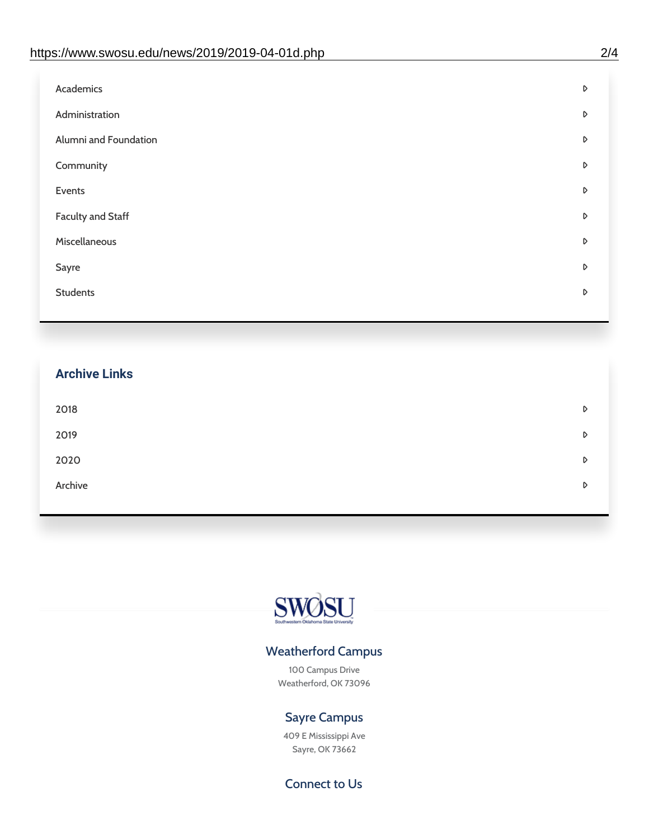| D |
|---|
| D |
| D |
| D |
| D |
| D |
| D |
| D |
| D |
|   |

## **Archive Links**  $2018$  $2019$ [2020](https://www.swosu.edu/news/2020/index.php)  $\bullet$ [Archive](https://dc.swosu.edu/bark/) **Archive Archive Archive Archive Archive** Archive Archive Archive Archive Archive Archive Archive Archive



### Weatherford Campus

100 Campus Drive Weatherford, OK 73096

### Sayre Campus

409 E Mississippi Ave Sayre, OK 73662

Connect to Us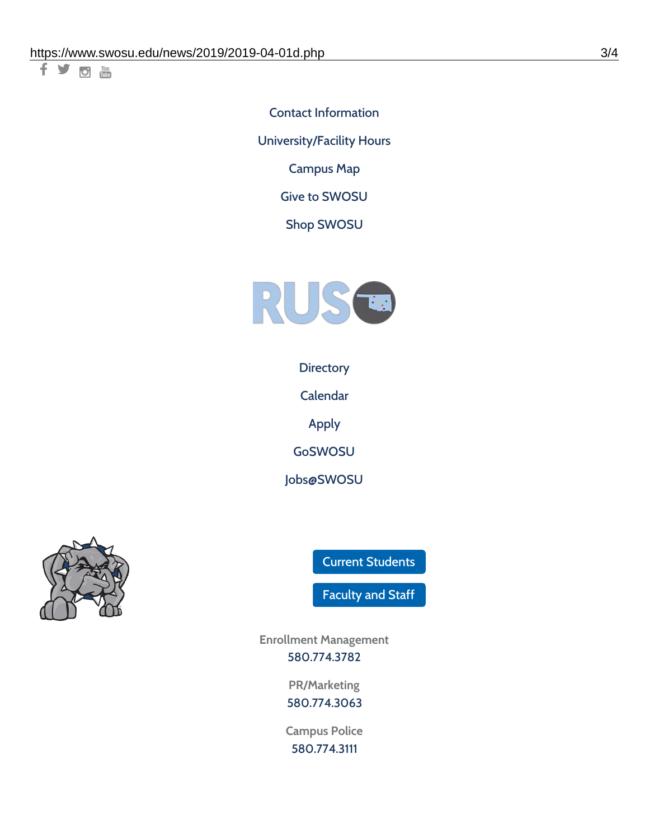千岁回调

Contact [Information](https://www.swosu.edu/about/contact.php) [University/Facility](https://www.swosu.edu/about/operating-hours.php) Hours [Campus](https://map.concept3d.com/?id=768#!ct/10964,10214,10213,10212,10205,10204,10203,10202,10136,10129,10128,0,31226,10130,10201,10641,0) Map

Give to [SWOSU](https://standingfirmly.com/donate)

Shop [SWOSU](https://shopswosu.merchorders.com/)



**[Directory](https://www.swosu.edu/directory/index.php)** 

[Calendar](https://eventpublisher.dudesolutions.com/swosu/)

[Apply](https://www.swosu.edu/admissions/apply-to-swosu.php)

[GoSWOSU](https://qlsso.quicklaunchsso.com/home/1267)

[Jobs@SWOSU](https://swosu.csod.com/ux/ats/careersite/1/home?c=swosu)



Current [Students](https://bulldog.swosu.edu/index.php)

[Faculty](https://bulldog.swosu.edu/faculty-staff/index.php) and Staff

**Enrollment Management** [580.774.3782](tel:5807743782)

> **PR/Marketing** [580.774.3063](tel:5807743063)

**Campus Police** [580.774.3111](tel:5807743111)